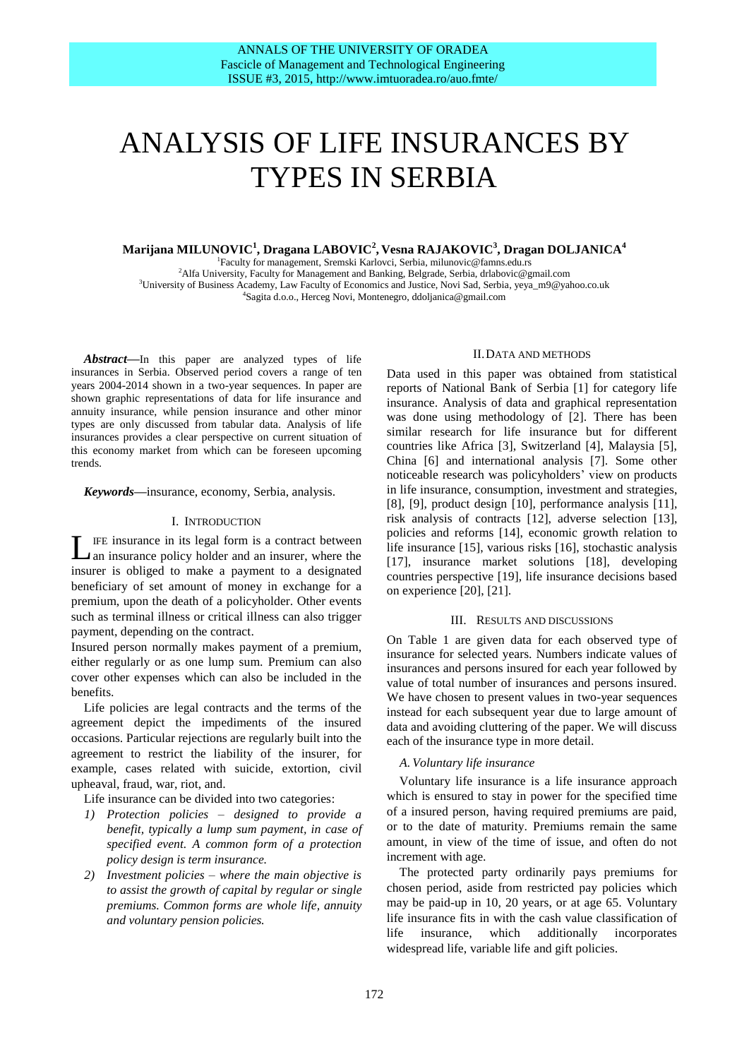# ANALYSIS OF LIFE INSURANCES BY TYPES IN SERBIA

# $\mathbf{M}$ arijana MILUNOVIC $^1$ , Dragana LABOVIC $^2$ , Vesna RAJAKOVIC $^3$ , Dragan DOLJANICA $^4$

 Faculty for management, Sremski Karlovci, Serbia, milunovic@famns.edu.rs <sup>2</sup>Alfa University, Faculty for Management and Banking, Belgrade, Serbia, drlabovic@gmail.com University of Business Academy, Law Faculty of Economics and Justice, Novi Sad, Serbia, yeya\_m9@yahoo.co.uk Sagita d.o.o., Herceg Novi, Montenegro, ddoljanica@gmail.com

*Abstract***—**In this paper are analyzed types of life insurances in Serbia. Observed period covers a range of ten years 2004-2014 shown in a two-year sequences. In paper are shown graphic representations of data for life insurance and annuity insurance, while pension insurance and other minor types are only discussed from tabular data. Analysis of life insurances provides a clear perspective on current situation of this economy market from which can be foreseen upcoming trends.

#### *Keywords***—**insurance, economy, Serbia, analysis.

#### I. INTRODUCTION

IFE insurance in its legal form is a contract between LE insurance in its legal form is a contract between an insurance policy holder and an insurer, where the insurer is obliged to make a payment to a designated beneficiary of set amount of money in exchange for a premium, upon the death of a policyholder. Other events such as terminal illness or critical illness can also trigger payment, depending on the contract.

Insured person normally makes payment of a premium, either regularly or as one lump sum. Premium can also cover other expenses which can also be included in the benefits.

Life policies are legal contracts and the terms of the agreement depict the impediments of the insured occasions. Particular rejections are regularly built into the agreement to restrict the liability of the insurer, for example, cases related with suicide, extortion, civil upheaval, fraud, war, riot, and.

Life insurance can be divided into two categories:

- *1) Protection policies – designed to provide a benefit, typically a lump sum payment, in case of specified event. A common form of a protection policy design is term insurance.*
- *2) Investment policies – where the main objective is to assist the growth of capital by regular or single premiums. Common forms are whole life, annuity and voluntary pension policies.*

## II.DATA AND METHODS

Data used in this paper was obtained from statistical reports of National Bank of Serbia [1] for category life insurance. Analysis of data and graphical representation was done using methodology of [2]. There has been similar research for life insurance but for different countries like Africa [3], Switzerland [4], Malaysia [5], China [6] and international analysis [7]. Some other noticeable research was policyholders' view on products in life insurance, consumption, investment and strategies, [8], [9], product design [10], performance analysis [11], risk analysis of contracts [12], adverse selection [13], policies and reforms [14], economic growth relation to life insurance [15], various risks [16], stochastic analysis [17], insurance market solutions [18], developing countries perspective [19], life insurance decisions based on experience [20], [21].

#### III. RESULTS AND DISCUSSIONS

On Table 1 are given data for each observed type of insurance for selected years. Numbers indicate values of insurances and persons insured for each year followed by value of total number of insurances and persons insured. We have chosen to present values in two-year sequences instead for each subsequent year due to large amount of data and avoiding cluttering of the paper. We will discuss each of the insurance type in more detail.

## *A. Voluntary life insurance*

Voluntary life insurance is a life insurance approach which is ensured to stay in power for the specified time of a insured person, having required premiums are paid, or to the date of maturity. Premiums remain the same amount, in view of the time of issue, and often do not increment with age.

The protected party ordinarily pays premiums for chosen period, aside from restricted pay policies which may be paid-up in 10, 20 years, or at age 65. Voluntary life insurance fits in with the cash value classification of life insurance, which additionally incorporates widespread life, variable life and gift policies.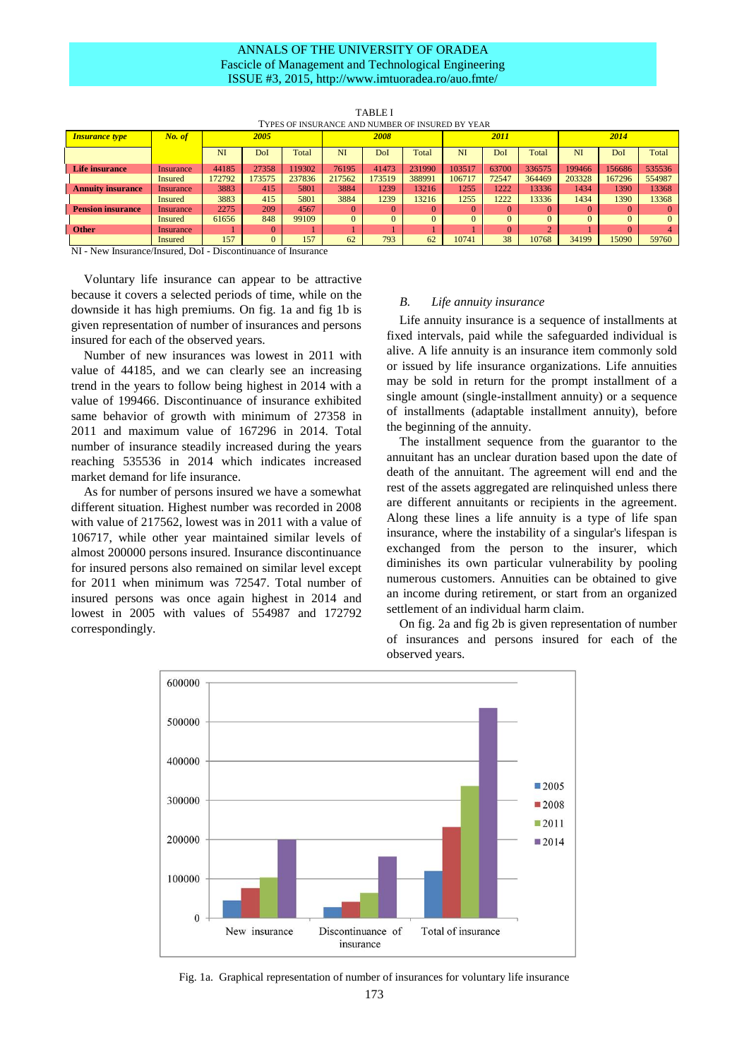# ANNALS OF THE UNIVERSITY OF ORADEA Fascicle of Management and Technological Engineering ISSUE #3, 2015, http://www.imtuoradea.ro/auo.fmte/

| TYPES OF INSURANCE AND NUMBER OF INSURED BY YEAR |           |        |          |        |          |          |        |          |          |          |          |        |          |
|--------------------------------------------------|-----------|--------|----------|--------|----------|----------|--------|----------|----------|----------|----------|--------|----------|
| <b>Insurance type</b>                            | No. of    | 2005   |          |        | 2008     |          |        | 2011     |          |          | 2014     |        |          |
|                                                  |           | NI     | DoI      | Total  | NI       | DoI      | Total  | NI       | DoI      | Total    | NI       | DoI    | Total    |
| <b>Life insurance</b>                            | Insurance | 44185  | 27358    | 119302 | 76195    | 41473    | 231990 | 103517   | 63700    | 336575   | 199466   | 156686 | 535536   |
|                                                  | Insured   | 172792 | 173575   | 237836 | 217562   | 173519   | 388991 | 106717   | 72547    | 364469   | 203328   | 167296 | 554987   |
| <b>Annuity insurance</b>                         | Insurance | 3883   | 415      | 5801   | 3884     | 1239     | 13216  | 1255     | 1222     | 13336    | 1434     | 1390   | 13368    |
|                                                  | Insured   | 3883   | 415      | 5801   | 3884     | 1239     | 13216  | 1255     | 1222     | 13336    | 1434     | 1390   | 13368    |
| <b>Pension insurance</b>                         | Insurance | 2275   | 209      | 4567   | $\Omega$ |          |        | $\Omega$ | $\Omega$ | $\Omega$ |          |        | $\Omega$ |
|                                                  | Insured   | 61656  | 848      | 99109  | $\Omega$ | $\Omega$ |        | $\Omega$ | $\Omega$ | $\Omega$ | $\Omega$ | 0      | $\Omega$ |
| <b>Other</b>                                     | Insurance |        |          |        |          |          |        |          | $\Omega$ |          |          |        |          |
|                                                  | Insured   | 157    | $\Omega$ | 157    | 62       | 793      | 62     | 10741    | 38       | 10768    | 34199    | 15090  | 59760    |

TABLE I

NI - New Insurance/Insured, DoI - Discontinuance of Insurance

Voluntary life insurance can appear to be attractive because it covers a selected periods of time, while on the downside it has high premiums. On fig. 1a and fig 1b is given representation of number of insurances and persons insured for each of the observed years.

Number of new insurances was lowest in 2011 with value of 44185, and we can clearly see an increasing trend in the years to follow being highest in 2014 with a value of 199466. Discontinuance of insurance exhibited same behavior of growth with minimum of 27358 in 2011 and maximum value of 167296 in 2014. Total number of insurance steadily increased during the years reaching 535536 in 2014 which indicates increased market demand for life insurance.

As for number of persons insured we have a somewhat different situation. Highest number was recorded in 2008 with value of 217562, lowest was in 2011 with a value of 106717, while other year maintained similar levels of almost 200000 persons insured. Insurance discontinuance for insured persons also remained on similar level except for 2011 when minimum was 72547. Total number of insured persons was once again highest in 2014 and lowest in 2005 with values of 554987 and 172792 correspondingly.

## *B. Life annuity insurance*

Life annuity insurance is a sequence of installments at fixed intervals, paid while the safeguarded individual is alive. A life annuity is an insurance item commonly sold or issued by life insurance organizations. Life annuities may be sold in return for the prompt installment of a single amount (single-installment annuity) or a sequence of installments (adaptable installment annuity), before the beginning of the annuity.

The installment sequence from the guarantor to the annuitant has an unclear duration based upon the date of death of the annuitant. The agreement will end and the rest of the assets aggregated are relinquished unless there are different annuitants or recipients in the agreement. Along these lines a life annuity is a type of life span insurance, where the instability of a singular's lifespan is exchanged from the person to the insurer, which diminishes its own particular vulnerability by pooling numerous customers. Annuities can be obtained to give an income during retirement, or start from an organized settlement of an individual harm claim.

On fig. 2a and fig 2b is given representation of number of insurances and persons insured for each of the observed years.



Fig. 1a. Graphical representation of number of insurances for voluntary life insurance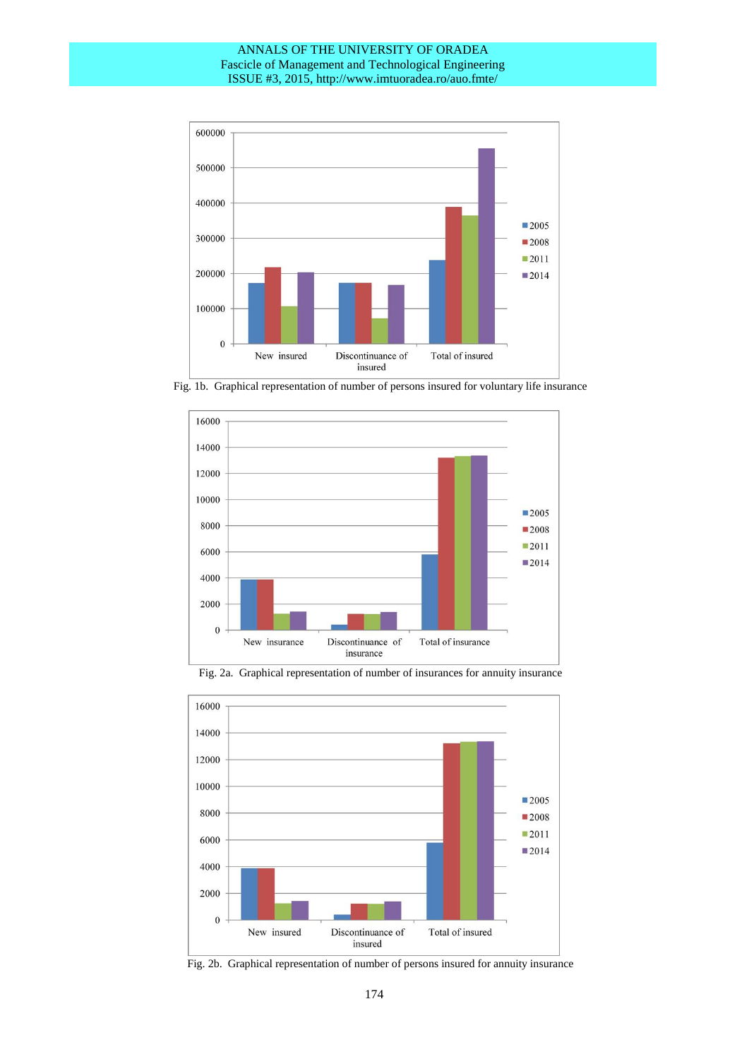# ANNALS OF THE UNIVERSITY OF ORADEA Fascicle of Management and Technological Engineering ISSUE #3, 2015, http://www.imtuoradea.ro/auo.fmte/



Fig. 1b. Graphical representation of number of persons insured for voluntary life insurance



Fig. 2a. Graphical representation of number of insurances for annuity insurance



Fig. 2b. Graphical representation of number of persons insured for annuity insurance